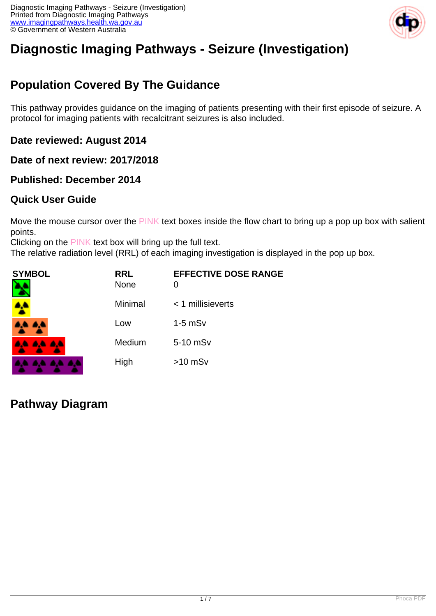

# **Diagnostic Imaging Pathways - Seizure (Investigation)**

## **Population Covered By The Guidance**

This pathway provides guidance on the imaging of patients presenting with their first episode of seizure. A protocol for imaging patients with recalcitrant seizures is also included.

**Date reviewed: August 2014**

**Date of next review: 2017/2018**

**Published: December 2014**

#### **Quick User Guide**

Move the mouse cursor over the PINK text boxes inside the flow chart to bring up a pop up box with salient points.

Clicking on the PINK text box will bring up the full text.

The relative radiation level (RRL) of each imaging investigation is displayed in the pop up box.

| <b>SYMBOL</b> | <b>RRL</b><br><b>None</b> | <b>EFFECTIVE DOSE RANGE</b><br>0 |
|---------------|---------------------------|----------------------------------|
| <b>A</b>      | Minimal                   | $<$ 1 millisieverts              |
| 4,4 A,4       | Low                       | $1-5$ mS $v$                     |
| 8,6 8,6 8,6   | Medium                    | 5-10 mSv                         |
|               | High                      | $>10$ mSv                        |

**Pathway Diagram**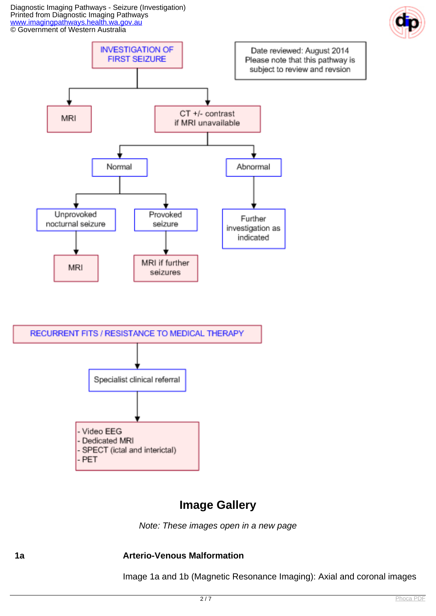Diagnostic Imaging Pathways - Seizure (Investigation) Printed from Diagnostic Imaging Pathways [www.imagingpathways.health.wa.gov.au](http://www.imagingpathways.health.wa.gov.au/) © Government of Western Australia





#### **Image Gallery**

Note: These images open in a new page

#### **1a Arterio-Venous Malformation**

Image 1a and 1b (Magnetic Resonance Imaging): Axial and coronal images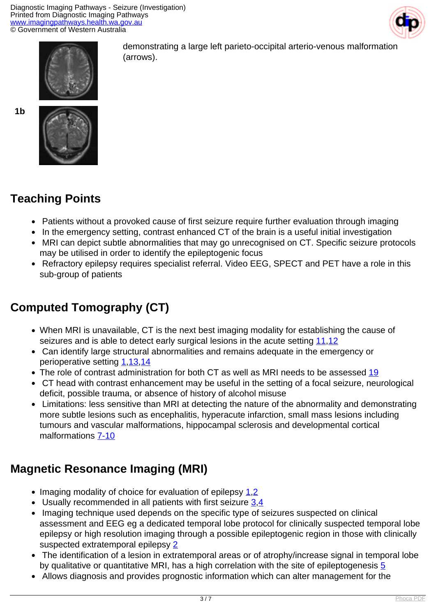



demonstrating a large left parieto-occipital arterio-venous malformation (arrows).

**1b**



## **Teaching Points**

- Patients without a provoked cause of first seizure require further evaluation through imaging
- In the emergency setting, contrast enhanced CT of the brain is a useful initial investigation
- MRI can depict subtle abnormalities that may go unrecognised on CT. Specific seizure protocols may be utilised in order to identify the epileptogenic focus
- Refractory epilepsy requires specialist referral. Video EEG, SPECT and PET have a role in this sub-group of patients

# **Computed Tomography (CT)**

- When MRI is unavailable, CT is the next best imaging modality for establishing the cause of seizures and is able to detect early surgical lesions in the acute setting [11](index.php?option=com_content&view=article&id=83&tab=references#11)[,12](index.php?option=com_content&view=article&id=83&tab=references#12)
- Can identify large structural abnormalities and remains adequate in the emergency or perioperative setting [1](index.php?option=com_content&view=article&id=83&tab=references#1),[13](index.php?option=com_content&view=article&id=83&tab=references#13)[,14](index.php?option=com_content&view=article&id=83&tab=references#14)
- The role of contrast administration for both CT as well as MRI needs to be assessed [19](index.php?option=com_content&view=article&id=83&tab=references#19)
- CT head with contrast enhancement may be useful in the setting of a focal seizure, neurological deficit, possible trauma, or absence of history of alcohol misuse
- Limitations: less sensitive than MRI at detecting the nature of the abnormality and demonstrating more subtle lesions such as encephalitis, hyperacute infarction, small mass lesions including tumours and vascular malformations, hippocampal sclerosis and developmental cortical malformations [7-10](index.php?option=com_content&view=article&id=83&tab=references#7)

## **Magnetic Resonance Imaging (MRI)**

- $\bullet$  Imaging modality of choice for evaluation of epilepsy [1](index.php?option=com_content&view=article&id=83&tab=references#1),[2](index.php?option=com_content&view=article&id=83&tab=references#2)
- Usually recommended in all patients with first seizure [3,](index.php?option=com_content&view=article&id=83&tab=references#3)[4](index.php?option=com_content&view=article&id=83&tab=references#4)
- Imaging technique used depends on the specific type of seizures suspected on clinical assessment and EEG eg a dedicated temporal lobe protocol for clinically suspected temporal lobe epilepsy or high resolution imaging through a possible epileptogenic region in those with clinically suspected extratemporal epilepsy [2](index.php?option=com_content&view=article&id=83&tab=references#2)
- The identification of a lesion in extratemporal areas or of atrophy/increase signal in temporal lobe by qualitative or quantitative MRI, has a high correlation with the site of epileptogenesis [5](index.php?option=com_content&view=article&id=83&tab=references#5)
- Allows diagnosis and provides prognostic information which can alter management for the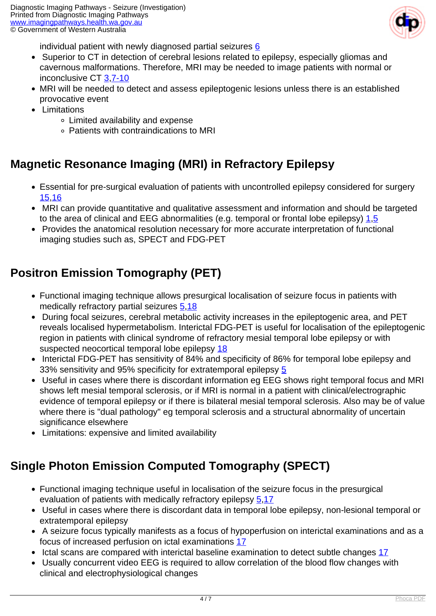

individual patient with newly diagnosed partial seizures  $6$ 

- Superior to CT in detection of cerebral lesions related to epilepsy, especially gliomas and cavernous malformations. Therefore, MRI may be needed to image patients with normal or inconclusive CT [3](index.php?option=com_content&view=article&id=83&tab=references#3)[,7-10](index.php?option=com_content&view=article&id=83&tab=references#7)
- MRI will be needed to detect and assess epileptogenic lesions unless there is an established provocative event
- Limitations
	- Limited availability and expense
	- Patients with contraindications to MRI

#### **Magnetic Resonance Imaging (MRI) in Refractory Epilepsy**

- Essential for pre-surgical evaluation of patients with uncontrolled epilepsy considered for surgery [15,](index.php?option=com_content&view=article&id=83&tab=references#15)[16](index.php?option=com_content&view=article&id=83&tab=references#16)
- MRI can provide quantitative and qualitative assessment and information and should be targeted to the area of clinical and EEG abnormalities (e.g. temporal or frontal lobe epilepsy)  $1.5$  $1.5$  $1.5$
- Provides the anatomical resolution necessary for more accurate interpretation of functional imaging studies such as, SPECT and FDG-PET

#### **Positron Emission Tomography (PET)**

- Functional imaging technique allows presurgical localisation of seizure focus in patients with medically refractory partial seizures [5](index.php?option=com_content&view=article&id=83&tab=references#5),[18](index.php?option=com_content&view=article&id=83&tab=references#18)
- During focal seizures, cerebral metabolic activity increases in the epileptogenic area, and PET reveals localised hypermetabolism. Interictal FDG-PET is useful for localisation of the epileptogenic region in patients with clinical syndrome of refractory mesial temporal lobe epilepsy or with suspected neocortical temporal lobe epilepsy [18](index.php?option=com_content&view=article&id=83&tab=references#18)
- Interictal FDG-PET has sensitivity of 84% and specificity of 86% for temporal lobe epilepsy and 33% sensitivity and 95% specificity for extratemporal epilepsy [5](index.php?option=com_content&view=article&id=83&tab=references#5)
- Useful in cases where there is discordant information eg EEG shows right temporal focus and MRI shows left mesial temporal sclerosis, or if MRI is normal in a patient with clinical/electrographic evidence of temporal epilepsy or if there is bilateral mesial temporal sclerosis. Also may be of value where there is "dual pathology" eg temporal sclerosis and a structural abnormality of uncertain significance elsewhere
- Limitations: expensive and limited availability

### **Single Photon Emission Computed Tomography (SPECT)**

- Functional imaging technique useful in localisation of the seizure focus in the presurgical evaluation of patients with medically refractory epilepsy [5](index.php?option=com_content&view=article&id=83&tab=references#5).17
- Useful in cases where there is discordant data in temporal lobe epilepsy, non-lesional temporal or extratemporal epilepsy
- A seizure focus typically manifests as a focus of hypoperfusion on interictal examinations and as a focus of increased perfusion on ictal examinations [17](index.php?option=com_content&view=article&id=83&tab=references#17)
- Ictal scans are compared with interictal baseline examination to detect subtle changes [17](index.php?option=com_content&view=article&id=83&tab=references#17)
- Usually concurrent video EEG is required to allow correlation of the blood flow changes with clinical and electrophysiological changes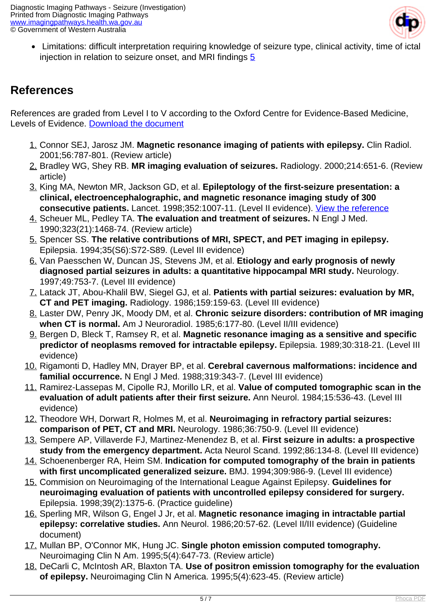

 Limitations: difficult interpretation requiring knowledge of seizure type, clinical activity, time of ictal injection in relation to seizure onset, and MRI findings [5](index.php?option=com_content&view=article&id=83&tab=references#5)

#### **References**

References are graded from Level I to V according to the Oxford Centre for Evidence-Based Medicine, Levels of Evidence. [Download the document](http://www.cebm.net/wp-content/uploads/2014/06/CEBM-Levels-of-Evidence-2.1.pdf)

- 1. Connor SEJ, Jarosz JM. **Magnetic resonance imaging of patients with epilepsy.** Clin Radiol. 2001;56:787-801. (Review article)
- 2. Bradley WG, Shey RB. **MR imaging evaluation of seizures.** Radiology. 2000;214:651-6. (Review article)
- 3. King MA, Newton MR, Jackson GD, et al. **Epileptology of the first-seizure presentation: a clinical, electroencephalographic, and magnetic resonance imaging study of 300 consecutive patients.** Lancet. 1998;352:1007-11. (Level II evidence). [View the reference](http://www.ncbi.nlm.nih.gov/entrez/query.fcgi?cmd=Retrieve&db=pubmed&dopt=Abstract&list_uids=9759742)
- 4. Scheuer ML, Pedley TA. **The evaluation and treatment of seizures.** N Engl J Med. 1990;323(21):1468-74. (Review article)
- 5. Spencer SS. **The relative contributions of MRI, SPECT, and PET imaging in epilepsy.** Epilepsia. 1994;35(S6):S72-S89. (Level III evidence)
- 6. Van Paesschen W, Duncan JS, Stevens JM, et al. **Etiology and early prognosis of newly diagnosed partial seizures in adults: a quantitative hippocampal MRI study.** Neurology. 1997;49:753-7. (Level III evidence)
- 7. Latack JT, Abou-Khalil BW, Siegel GJ, et al. **Patients with partial seizures: evaluation by MR, CT and PET imaging.** Radiology. 1986;159:159-63. (Level III evidence)
- 8. Laster DW, Penry JK, Moody DM, et al. **Chronic seizure disorders: contribution of MR imaging when CT is normal.** Am J Neuroradiol. 1985;6:177-80. (Level II/III evidence)
- 9. Bergen D, Bleck T, Ramsey R, et al. **Magnetic resonance imaging as a sensitive and specific predictor of neoplasms removed for intractable epilepsy.** Epilepsia. 1989;30:318-21. (Level III evidence)
- 10. Rigamonti D, Hadley MN, Drayer BP, et al. **Cerebral cavernous malformations: incidence and familial occurrence.** N Engl J Med. 1988;319:343-7. (Level III evidence)
- 11. Ramirez-Lassepas M, Cipolle RJ, Morillo LR, et al. **Value of computed tomographic scan in the evaluation of adult patients after their first seizure.** Ann Neurol. 1984;15:536-43. (Level III evidence)
- 12. Theodore WH, Dorwart R, Holmes M, et al. **Neuroimaging in refractory partial seizures: comparison of PET, CT and MRI.** Neurology. 1986;36:750-9. (Level III evidence)
- 13. Sempere AP, Villaverde FJ, Martinez-Menendez B, et al. **First seizure in adults: a prospective study from the emergency department.** Acta Neurol Scand. 1992;86:134-8. (Level III evidence)
- 14. Schoenenberger RA, Heim SM. **Indication for computed tomography of the brain in patients with first uncomplicated generalized seizure.** BMJ. 1994;309:986-9. (Level III evidence)
- 15. Commision on Neuroimaging of the International League Against Epilepsy. **Guidelines for neuroimaging evaluation of patients with uncontrolled epilepsy considered for surgery.** Epilepsia. 1998;39(2):1375-6. (Practice guideline)
- 16. Sperling MR, Wilson G, Engel J Jr, et al. **Magnetic resonance imaging in intractable partial epilepsy: correlative studies.** Ann Neurol. 1986;20:57-62. (Level II/III evidence) (Guideline document)
- 17. Mullan BP, O'Connor MK, Hung JC. **Single photon emission computed tomography.** Neuroimaging Clin N Am. 1995;5(4):647-73. (Review article)
- 18. DeCarli C, McIntosh AR, Blaxton TA. **Use of positron emission tomography for the evaluation of epilepsy.** Neuroimaging Clin N America. 1995;5(4):623-45. (Review article)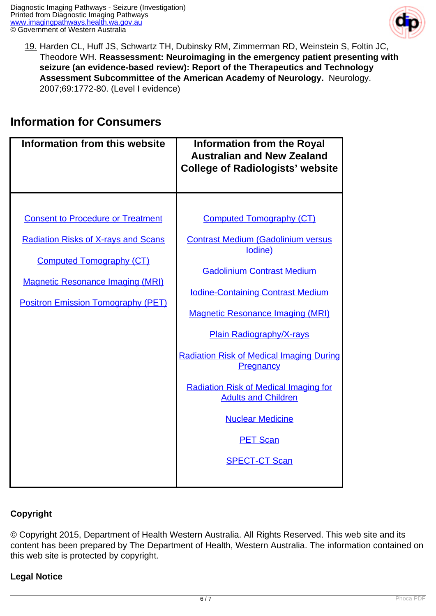

19. Harden CL, Huff JS, Schwartz TH, Dubinsky RM, Zimmerman RD, Weinstein S, Foltin JC, Theodore WH. **Reassessment: Neuroimaging in the emergency patient presenting with seizure (an evidence-based review): Report of the Therapeutics and Technology Assessment Subcommittee of the American Academy of Neurology.** Neurology. 2007;69:1772-80. (Level I evidence)

#### **Information for Consumers**

| Information from this website                                                                                                                                                                                     | <b>Information from the Royal</b><br><b>Australian and New Zealand</b><br><b>College of Radiologists' website</b>                                                                                                                                                                                                                                                                                                                                                          |
|-------------------------------------------------------------------------------------------------------------------------------------------------------------------------------------------------------------------|----------------------------------------------------------------------------------------------------------------------------------------------------------------------------------------------------------------------------------------------------------------------------------------------------------------------------------------------------------------------------------------------------------------------------------------------------------------------------|
| <b>Consent to Procedure or Treatment</b><br><b>Radiation Risks of X-rays and Scans</b><br><b>Computed Tomography (CT)</b><br><b>Magnetic Resonance Imaging (MRI)</b><br><b>Positron Emission Tomography (PET)</b> | <b>Computed Tomography (CT)</b><br><b>Contrast Medium (Gadolinium versus</b><br>lodine)<br><b>Gadolinium Contrast Medium</b><br><b>Iodine-Containing Contrast Medium</b><br><b>Magnetic Resonance Imaging (MRI)</b><br><b>Plain Radiography/X-rays</b><br><b>Radiation Risk of Medical Imaging During</b><br>Pregnancy<br><b>Radiation Risk of Medical Imaging for</b><br><b>Adults and Children</b><br><b>Nuclear Medicine</b><br><b>PET Scan</b><br><b>SPECT-CT Scan</b> |

#### **Copyright**

© Copyright 2015, Department of Health Western Australia. All Rights Reserved. This web site and its content has been prepared by The Department of Health, Western Australia. The information contained on this web site is protected by copyright.

#### **Legal Notice**